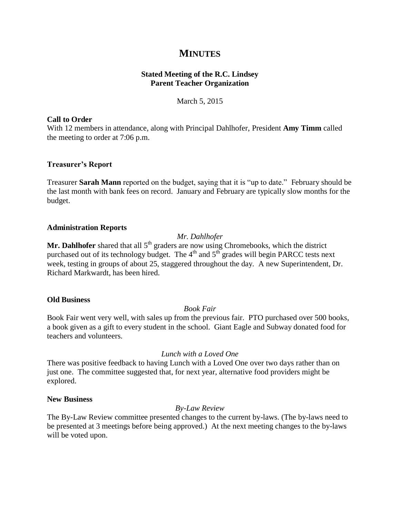# **MINUTES**

# **Stated Meeting of the R.C. Lindsey Parent Teacher Organization**

March 5, 2015

## **Call to Order**

With 12 members in attendance, along with Principal Dahlhofer, President **Amy Timm** called the meeting to order at 7:06 p.m.

# **Treasurer's Report**

Treasurer **Sarah Mann** reported on the budget, saying that it is "up to date." February should be the last month with bank fees on record. January and February are typically slow months for the budget.

## **Administration Reports**

## *Mr. Dahlhofer*

Mr. Dahlhofer shared that all 5<sup>th</sup> graders are now using Chromebooks, which the district purchased out of its technology budget. The  $4<sup>th</sup>$  and  $5<sup>th</sup>$  grades will begin PARCC tests next week, testing in groups of about 25, staggered throughout the day. A new Superintendent, Dr. Richard Markwardt, has been hired.

#### **Old Business**

*Book Fair*

Book Fair went very well, with sales up from the previous fair. PTO purchased over 500 books, a book given as a gift to every student in the school. Giant Eagle and Subway donated food for teachers and volunteers.

# *Lunch with a Loved One*

There was positive feedback to having Lunch with a Loved One over two days rather than on just one. The committee suggested that, for next year, alternative food providers might be explored.

#### **New Business**

# *By-Law Review*

The By-Law Review committee presented changes to the current by-laws. (The by-laws need to be presented at 3 meetings before being approved.) At the next meeting changes to the by-laws will be voted upon.